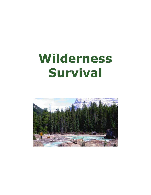# **Wilderness Survival**

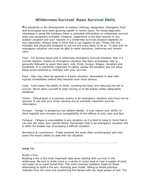# **Wilderness Survival**: **Basic Survival Skills**

**T**he advances in the development of outdoor clothing, equipment, emergency food and techniques have been growing rapidly in recent years. For those beginners interested in using the outdoors there is unlimited information on wilderness survival skills and equipment available. However, experience is the best teacher in any outdoor situation and your reaction in a wilderness survival situation depends on your education. Always keep in mind that it can happen to you. Those who are mentally and physically prepared to survive are more likely to do so. To deal with an emergency situation one must be able to make decisions, improvise and remain calm.

**Fear** - For anyone faced with a wilderness emergency survival situation, fear is a normal reaction. Unless an emergency situation has been anticipated, fear is generally followed by panic then pain, cold, thirst, hunger, fatigue, boredom and loneliness. It is extremely important to calmly assess the situation and not allow these seven enemies to interfere with your survival.

**Pain** - Pain may often be ignored in a panic situation. Remember to deal with injuries immediately before they become even more serious.

**Cold** - Cold lowers the ability to think, numbing the body and reducing the will to survive. Never allow yourself to stop moving or to fall asleep unless adequately sheltered.

**Thirst** - Dehydration is a common enemy in an emergency situation and must not be ignored. It can dull your mind, causing you to overlook important survival information.

**Hunger** - Hunger is dangerous but seldom deadly. It may reduce your ability to think logically and increase your susceptibility to the effects of cold, pain and fear.

**Fatigue** - Fatigue is unavoidable in any situation so it is best to keep in mind that it can and will lower your mental ability. Remember that in an emergency situation this is often the bodies way of escaping a difficult situation.

**Boredom & Loneliness** - These enemies are quite often unanticipated and may lower the mind's ability to deal with the situation.

# **HOW TO:**

**Build a Fire**

Building a fire is the most important task when dealing with survival in the wilderness. Be sure to build yours in a sandy or rocky area or near a supply of sand and water as to avoid forest fires. The most common mistakes made by those attempting to build a fire are: choosing poor tinder, failing to shield precious matches from the wind and smothering the flames with too large pieces of fuel. The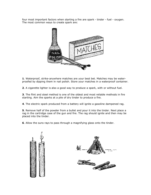four most important factors when starting a fire are spark - tinder - fuel - oxygen. The most common ways to create spark are:



**1**. Waterproof, strike-anywhere matches are your best bet. Matches may be waterproofed by dipping them in nail polish. Store your matches in a waterproof container.

**2**. A cigarette lighter is also a good way to produce a spark, with or without fuel.

**3**. The flint and steel method is one of the oldest and most reliable methods in fire starting. Aim the sparks at a pile of dry tinder to produce a fire.

**4**. The electric spark produced from a battery will ignite a gasoline dampened rag.

**5**. Remove half of the powder from a bullet and pour it into the tinder. Next place a rag in the cartridge case of the gun and fire. The rag should ignite and then may be placed into the tinder.

**6**. Allow the suns rays to pass through a magnifying glass onto the tinder.





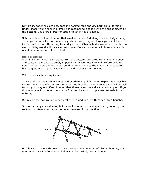Dry grass, paper or cloth lint, gasoline-soaked rags and dry bark are all forms of tinder. Place your tinder in a small pile resembling a tepee with the driest pieces at the bottom. Use a fire starter or strip of pitch if it is available.

It is important to keep in mind that smaller pieces of kindling such as, twigs, bark, shavings and gasoline, are necessary when trying to ignite larger pieces of fuel. Gather fuel before attempting to start your fire. Obviously dry wood burns better and wet or pitchy wood will create more smoke. Dense, dry wood will burn slow and hot. A well ventilated fire will burn best.

#### **Build a Shelter**

A small shelter which is insulated from the bottom, protected from wind and snow and contains a fire is extremely important in wilderness survival. Before building your shelter be sure that the surrounding area provides the materials needed to build a good fire, a good water source and shelter from the wind.

Wilderness shelters may include:

**1**. Natural shelters such as caves and overhanging cliffs. When exploring a possible shelter tie a piece of string to the outer mouth of the cave to ensure you will be able to find your way out. Keep in mind that these caves may already be occupied. If you do use a cave for shelter, build your fire near its mouth to prevent animals from entering.

**2**. Enlarge the natural pit under a fallen tree and line it with bark or tree boughs.

**3**. Near a rocky coastal area, build a rock shelter in the shape of a U, covering the roof with driftwood and a tarp or even seaweed for protection.



**4**. A lean-to made with poles or fallen trees and a covering of plastic, boughs, thick grasses or bark is effective to shelter you from wind, rain and snow.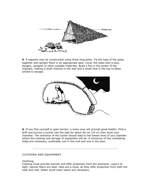

**5**. A wigwam may be constructed using three long poles. Tie the tops of the poles together and upright them in an appropriate spot. Cover the sides with a tarp, boughs, raingear or other suitable materials. Build a fire in the center of the wigwam, making a draft channel in the wall and a small hole in the top to allow smoke to escape.



**6**. If you find yourself in open terrain, a snow cave will provide good shelter. Find a drift and burrow a tunnel into the side for about 60 cm (24 in) then build your chamber. The entrance of the tunnel should lead to the lowest level of you chamber where the cooking and storage of equipment will be. A minimum of two ventilating holes are necessary, preferably one in the roof and one in the door.

# **CLOTHING AND EQUIPMENT**

#### **Clothing**

Clothing must provide warmth and offer protection from the elements. Layers of light, natural fibers are best. Hats are a must, as they offer protection from both the heat and cold. Water proof outer layers are necessary.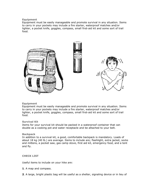# **Equipment**

Equipment must be easily manageable and promote survival in any situation. Items to carry in your pockets may include a fire starter, waterproof matches and/or lighter, a pocket knife, goggles, compass, small first-aid kit and some sort of trail food.



# **Equipment**

Equipment must be easily manageable and promote survival in any situation. Items to carry in your pockets may include a fire starter, waterproof matches and/or lighter, a pocket knife, goggles, compass, small first-aid kit and some sort of trail food.

#### **Survival Kit**

Items for your survival kit should be packed in a waterproof container that can double as a cooking pot and water receptacle and be attached to your belt.

# **Backpack**

In addition to a survival kit, a good, comfortable backpack is mandatory. Loads of about 18 kg (40 lb.) are average. Items to include are; flashlight, extra jacket, socks and mittens, a pocket saw, gas camp stove, first aid kit, emergency food, and a tent and fly.

# **CHECK LIST**

Useful items to include on your hike are:

- **1**. A map and compass.
- **2**. A large, bright plastic bag will be useful as a shelter, signaling device or in lieu of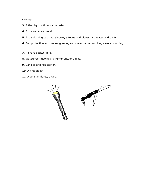raingear.

- . A flashlight with extra batteries.
- . Extra water and food.
- . Extra clothing such as raingear, a toque and gloves, a sweater and pants.
- . Sun protection such as sunglasses, sunscreen, a hat and long sleeved clothing.
- . A sharp pocket knife.
- . Waterproof matches, a lighter and/or a flint.
- . Candles and fire starter.
- . A first aid kit.
- . A whistle, flares, a tarp.

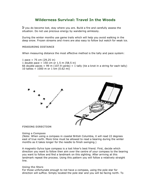# **Wilderness Survival: Travel In the Woods**

If you do become lost, stay where you are. Build a fire and carefully assess the situation. Do not use precious energy by wandering aimlessly.

During the winter months use game trails which will help you avoid walking in the deep snow. Frozen streams and rivers are also easy to follow but watch for weak ice.

## **MEASURING DISTANCE**

When measuring distance the most effective method is the tally and pace system:

1 pace =  $75 \text{ cm}$  (29.25 in) 1 double pace =  $150$  cm or 1.5 m (58.5 in) 66 double paces = 99 m (107.9 yards) = 1 tally (tie a knot in a string for each tally) 10 tallies = 1000 m or 1 km (0.62 mi)



#### **FINDING DIRECTION**

#### **Using a Compass**

(Note: When using a compass in coastal British Columbia, it will read 22 degrees east of true north. More time must be allowed to read a bearing during the winter months as it takes longer for the needle to finish swinging.)

A magnetic-Sylva type compass is a lost hiker's best friend. First, decide which direction you want to follow then aim over the centre of your compass to the bearing you want to follow and find a landmark on this sighting. After arriving at this landmark repeat the process. Using this pattern you will follow a relatively straight line.

#### **Using the Stars**

For those unfortunate enough to not have a compass, using the pole star for direction will suffice. Simply located the pole star and you will be facing north. To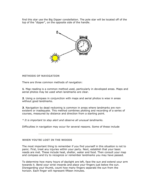find this star use the Big Dipper constellation. The pole star will be located off of the top of the "dipper", on the opposite side of the handle.



# **METHODS OF NAVIGATION**

There are three common methods of navigation:

**1**. Map reading is a common method used, particularly in developed areas. Maps and aerial photos may be used when landmarks are clear.

**2**. Using a compass in conjunction with maps and aerial photos is wise in areas without good landmarks.

**3**. Navigation by dead reckoning is common in areas where landmarks are nonexistent or inadequate. This method combines plotting and recording of a series of courses, measured by distance and direction from a starting point.

*\* It is important to stay alert and observe all unusual landmarks.*

Difficulties in navigation may occur for several reasons. Some of these include

**WHEN YOU'RE LOST IN THE WOODS**

The most important thing to remember if you find yourself in this situation is not to panic. First, treat any injuries within your party. Next, establish that your basic needs are met. These include heat, shelter, water and food. Then consult your map and compass and try to recognize or remember landmarks you may have passed.

To determine how many hours of daylight are left, face the sun and extend your arm towards it. Bend your wrist inwards and place your fingers just below the sun. Disregarding your thumb, count how many fingers separate the sun from the horizon. Each finger will represent fifteen minutes.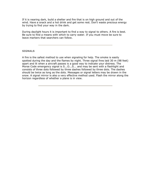If it is nearing dark, build a shelter and fire that is on high ground and out of the wind. Have a snack and a hot drink and get some rest. Don't waste precious energy by trying to find your way in the dark.

During daylight hours it is important to find a way to signal to others. A fire is best. Be sure to find a means with which to carry water. If you must move be sure to leave markers that searchers can follow.

# **SIGNALS**

A fire is the safest method to use when signaling for help. The smoke is easily spotted during the day and the flames by night. Three signal fires laid 30 m (98 feet) apart and lit when a aircraft passes is a good way to indicate your distress. The Morse Code emergency signal is S...O...S... and may be sent with a flashlight and consists of three dots followed by three dashes followed by three dots. The dashes should be twice as long as the dots. Messages or signal letters may be drawn in the snow. A signal mirror is also a very effective method used. Flash the mirror along the horizon regardless of whether a plane is in view.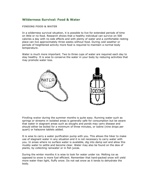# **Wilderness Survival: Food & Water**

# **FINDING FOOD & WATER**

In a wilderness survival situation, it is possible to live for extended periods of time on little or no food. Research shows that a healthy individual can survive on 500 calories a day with no side effects and with plenty of water and a comfortable resting place can live approximately three weeks without food. During cold weather or periods of heightened activity more food is required to maintain a normal body temperature.

Water is much more important. Two to three cups of water are required each day to stay healthy. It is wise to conserve the water in your body by reducing activities that may promote water loss.



**Finding water** during the summer months is quite easy. Running water such as springs or streams in isolated areas is generally safe for consumption but be aware that water in stagnant areas such as sloughs and ponds may carry disease and should either be boiled for a minimum of three minutes, or iodine (nine drops per quart) or halazone tablets added.

It is wise to carry a water purification pump with you. This allows the hiker to make use of stagnant water in any situation and it is not necessary to carry water with you. In areas where no surface water is available, dig into damp soil and allow this muddy water to settle and become clear. Water may also be found on the dew of plants, by collecting rainwater or in fish juices.

During the winter months it is wise to look for water under ice. Melting ice as opposed to snow is more fuel efficient. Remember that hard-packed snow will yield more water than light, fluffy snow. Do not eat snow as it tends to dehydrate the body.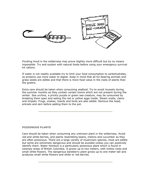

**Finding food** in the wilderness may prove slightly more difficult but by no means impossible. Try and sustain with natural foods before using your emergency survival kit rations.

If water is not readily available try to limit your food consumption to carbohydrates, as proteins use more water to digest. Keep in mind that all fur-bearing animals and grass seeds are edible and that there is more food value in the roots of plants than the greens.

Extra care should be taken when consuming seafood. Try to avoid mussels during the summer months as they contain certain toxins which are not present during the winter. Sea urchins, a prickly purple or green sea creature, may be consumed by breaking them open and eating the red or yellow eggs inside. Steam snails, clams and limpets. Frogs, snakes, lizards and birds are also edible. Remove the head, entrails and skin before adding them to the pot.

# **POISONOUS PLANTS**

Care should be taken when consuming any unknown plant in the wilderness. Avoid red and white berries, and plants resembling beans, melons and cucumber as they are often poisonous. There are a large variety of mushroom species, most are edible but some are extremely dangerous and should be avoided unless you can positively identify them. Water hemlock is a particularly poisonous plant which is found in swampy areas of British Columbia. It grows up to two meters, with hollow roots and small white flowers. The dangerous baneberry plant grows up to one meter tall and produces small white flowers and white or red berries.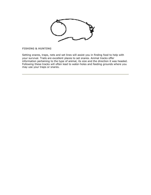**FISHING & HUNTING**

Setting snares, traps, nets and set lines will assist you in finding food to help with your survival. Trails are excellent places to set snares. Animal tracks offer information pertaining to the type of animal, its size and the direction it was headed. Following these tracks will often lead to water-holes and feeding grounds where you may use your traps or snares.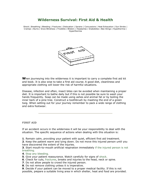# **Wilderness Survival: First Aid & Health**

Shock | Breathing | Bleeding | Fractures | Dislocation | Sprains | Concussions | Heat Exhaustion | Sun Stroke | Cramps | Burns | Snow Blindness | Frostbite | Blisters | Headaches | Snakebites | Bee Stings | Hypothermia | Hyperthermia



**W**hen journeying into the wilderness it is important to carry a complete first aid kit and book. It is also wise to take a first aid course. A good diet, cleanliness and appropriate clothing will lower the risk of harmful situations.

Disease, infection and often, insect bites can be avoided when maintaining a proper diet. It is important to bathe daily but if this is not possible be sure to wash your hands frequently. Soap can be made using ashes and animal fat or by boiling the inner bark of a pine tree. Construct a toothbrush by mashing the end of a green twig. When setting out for your journey remember to pack a wide range of clothing and extra footwear.

# **FIRST AID**

If an accident occurs in the wilderness it will be your responsibility to deal with the situation. The specific sequence of actions when dealing with this situation is:

- **1**. Remain calm, providing your patient with quiet, efficient first aid treatment.
- **2**. Keep the patient warm and lying down. Do not move this injured person until you have discovered the extent of the injuries.

**3**. Start mouth-to-mouth artificial respiration immediately if the injured person is not breathing.

- **4**. Stop any bleeding.
- **5**. Give your patient reassurance. Watch carefully for signs of shock.
- **6**. Check for cuts, fractures, breaks and injuries to the head, neck or spine.
- **7**. Do not allow people to crowd the injured person.
- **8**. Do not remove clothing unless it is imperative.

**9**. Decide if your patient can be moved to a proper medical facility. If this is not possible, prepare a suitable living area in which shelter, heat and food are provided.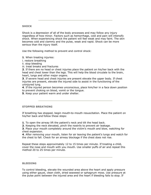# **SHOCK**

Shock is a depression of all of the body processes and may follow any injury regardless of how minor. Factors such as hemorrhage, cold and pain will intensify shock. When experiencing shock the patient will feel weak and may faint. The skin becomes cold and clammy and the pulse, weak and rapid. Shock can be more serious than the injury itself.

Use the following method to prevent and control shock:

**1**. When treating injuries:

i. restore breathing

ii. stop bleeding

iii. treat breaks and fractures

**2**. If there are no head or chest injuries place the patient on his/her back with the head and chest lower than the legs. This will help the blood circulate to the brain, heart, lungs and other major organs.

**3**. If severe head and chest injuries are present elevate the upper body. If chest injuries are present, elevate the injured side to assist in the functioning of the uninjured lung.

**4**. If the injured person becomes unconscious, place him/her in a face down position to prevent choking on blood, vomit or the tongue.

**5**. Keep your patient warm and under shelter.

# **STOPPED BREATHING**

If breathing has stopped, begin mouth-to-mouth resuscitation. Place the patient on his/her back and follow these steps:

**1**. To open the airway lift the patient's neck and tilt the head back.

**2**. Keeping the neck elevated, pinch the nostrils to prevent air leakage.

**3**. Place your mouth completely around the victim's mouth and blow, watching for chest expansion.

**4**. After removing your mouth, listen for air leaving the patient's lungs and watch for the chest to fall. Check for an airway blockage if the chest does not rise.

Repeat these steps approximately 12 to 15 times per minute. If treating a child, cover the nose and mouth with you mouth. Use smaller puffs of air and repeat this method 20 to 25 times per minute.

#### **BLEEDING**

To control bleeding, elevate the wounded area above the heart and apply pressure using either gauze, clean cloth, dried seaweed or sphagnum moss. Use pressure at the pulse point between the injured area and the heart if bleeding fails to stop. If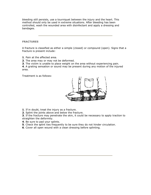bleeding still persists, use a tourniquet between the injury and the heart. This method should only be used in extreme situations. After bleeding has been controlled, wash the wounded area with disinfectant and apply a dressing and bandages.

## **FRACTURES**

A fracture is classified as either a simple (closed) or compound (open). Signs that a fracture is present include:

- **1**. Pain at the affected area.
- **2**. The area may or may not be deformed.
- **3**. The victim is unable to place weight on the area without experiencing pain.

**4**. A grating sensation or sound may be present during any motion of the injured area.

Treatment is as follows:



- **1**. If in doubt, treat the injury as a fracture.
- **2**. Splint the joints above and below the fracture.

**3**. If the fracture may penetrate the skin, it could be necessary to apply traction to straighten the deformity.

- **4**. Be sure to pad your splints.
- **5**. Check the splint ties frequently to be sure they do not hinder circulation.
- **6**. Cover all open wound with a clean dressing before splinting.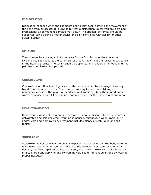# **DISLOCATION**

Dislocation happens when the ligaments near a joint tear, allowing the movement of the bone from its socket. It is unwise to treat a dislocation unless you are a trained professional as permanent damage may occur. The affected extremity should be supported using a sling or other device and pain controlled with aspirin or other suitable drugs.

#### **SPRAINS**

Treat sprains by applying cold to the area for the first 24 hours then once the swelling has subsided, let the sprain sit for a day. Apply heat the following day to aid in the healing process. The sprain should be splinted and rendered immobile until the pain has completely disappeared.

#### **CONCUSSIONS**

Concussions or other head injuries are often accompanied by a leakage of watery blood from the nose or ears. Other symptoms may include convulsions, an unresponsiveness of the pupils or headache and vomiting. Keep the injured party warm, dispense a pain killer regularly and allow time for the body to rest and repair.

#### **HEAT EXHAUSTION**

Heat exhaustion is not uncommon when water is not sufficient. The body becomes dehydrated and salt-depleted, resulting in nausea, faintness, a weak, rapid pulse and/or cold and clammy skin. Treatment includes plenty of rest, liquid and salt tablets.

#### **SUNSTROKE**

Sunstroke may occur when the body is exposed to excessive sun. The body becomes overheated and provides too much blood to the circulatory system resulting in a flushed, hot face, rapid pulse, headache and/or dizziness. Treat sunstroke by resting in a cool area and applying and consuming cold liquid. Prevent sunstroke by wearing proper headgear.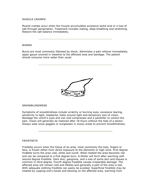## **MUSCLE CRAMPS**

Muscle cramps occur when the muscle accumulates excessive lactid acid or a loss of salt through perspiration. Treatment includes resting, deep breathing and stretching. Restore the salt balance immediately.

#### **BURNS**

Burns are most commonly followed by shock. Administer a pain reliever immediately, apply gauze covered in Vaseline to the affected area and bandage. The patient should consume more water than usual.



#### **SNOWBLINDNESS**

Symptoms of snowblindness include scratchy or burning eyes, excessive tearing, sensitivity to light, headache, halos around light and temporary loss of vision. Bandage the victim's eyes and use cold compresses and a painkiller to control the pain. Vision will generally be restored after 18 hours without the help of a doctor. Always wear snow goggles or sunglasses in snowy areas to prevent snowblindness.

# **FROSTBITE**

Frostbite occurs when the tissue of an area, most commonly the toes, fingers or face, is frozen either from direct exposure to the elements or high wind. First degree frostbite turns the area cold, white and numb. When heated the area becomes red and can be compared to a first degree burn. A blister will form after warming with second degree frostbite. Dark skin, gangrene, and a loss of some skin and tissues is common in third degree. Fourth degree frostbite causes irreparable damage. The affected area will remain cold and lifeless and generally a part of the area is lost. With adequate clothing frostbite can easily be avoided. Superficial frostbite may be treated by cupping one's hands and blowing on the affected area, warming from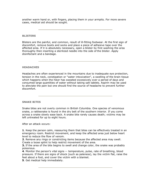another warm hand or, with fingers, placing them in your armpits. For more severe cases, medical aid should be sought.

#### **BLISTERS**

Blisters are the painful, and common, result of ill-fitting footwear. At the first sign of discomfort, remove boots and socks and place a piece of adhesive tape over the affected area. If it is absolutely necessary, open a blister by first washing the area thoroughly then inserting a sterilized needle into the side of the blister. Apply disinfectant and a bandage.

#### **HEADACHES**

Headaches are often experienced in the mountains due to inadequate eye protection, tension in the neck, constipation or "water intoxication", a swelling of the brain tissue which happens when the hiker has sweated excessively over a period of days and consumed large quantities of water without taking salt tablets. Aspirin may be used to alleviate the pain but one should find the source of headache to prevent further discomfort.

**SNAKE BITES**

Snake bites are not overly common in British Columbia. One species of venomous snake, a rattlesnake is found in the dry belt of the southern interior. If you come across a snake slowly ease back. A snake bite rarely causes death; victims may be left untreated for up to eight hours.

After an attack occurs:

**1**. Keep the person calm, reassuring them that bites can be effectively treated in an emergency room. Restrict movement, and keep the affected area just below heart level to reduce the flow of venom.

**2**. Remove any rings or constricting items because the affected area may swell. Create a loose splint to help restrict movement of the area.

**3.** If the area of the bite begins to swell and change color, the snake was probably poisonous.

**4**. Monitor the person's vital signs -- temperature, pulse, rate of breathing, blood pressure. If there are signs of shock (such as paleness), lay the victim flat, raise the feet about a foot, and cover the victim with a blanket.

**5**. Get medical help immediately.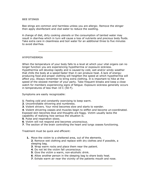#### **BEE STINGS**

Bee stings are common and harmless unless you are allergic. Remove the stinger then apply disinfectant and clod water to reduce the swelling.

A change of diet, dirty cooking utensils or the consumption of tainted water may result in diarrhea which in turn will cause a loss of nutrients and precious body fluids. Take extra care in cleanliness and boil water for an additional three to five minutes to avoid diarrhea.

# **HYPOTHERMIA**

When the temperature of your body falls to a level at which your vital organs can no longer function you are experiencing hypothermia or exposure sickness. Hypothermia will develop rapidly and is caused by cold, wet and/or windy weather that chills the body at a speed faster than it can produce heat. A lack of energyproducing food and proper clothing will heighten the speed at which hypothermia will affect you. Always remember to bring extra clothing. It is important to hike at the speed of the slowest member of your party. Take frequent breaks and keep a close watch for members experiencing signs of fatigue. Exposure sickness generally occurs in temperatures of less than 10 C (50 F).

Symptoms are easily recognizable:

- **1**. Feeling cold and constantly exercising to keep warm.
- **2**. Uncontrollable shivering and numbness.
- **3**. Violent shivers. Your mind becomes slow and starts to wander.

**4**. Violent shivering ceases and muscles begin to stiffen and become un-coordinated. Exposed skin becomes blue and thoughts are foggy. Victim usually lacks the capability of realizing how serious the situation is.

- **5**. Pulse and respiration slows.
- **6**. Victim will not respond and becomes unconscious.
- **7**. The section of the brain controlling the heart and lungs ceases functioning.

Treatment must be quick and efficient:

- **1.** Move the victim to a sheltered area, out of the elements. **2**. Remove wet clothing and replace with dry clothes and if possible, a
	- sleeping bag.
	- **3**. Wrap warm rocks and place them near the patient.
	- **4**. Do not let the victim fall unconscious.
	- **5**. Give the victim a warm, non-alcoholic drink.
	- **6**. Allow another person in the sleeping bag to share body heat.
	- **7**. Exhale warm air near the vicinity of the patients mouth and nose.